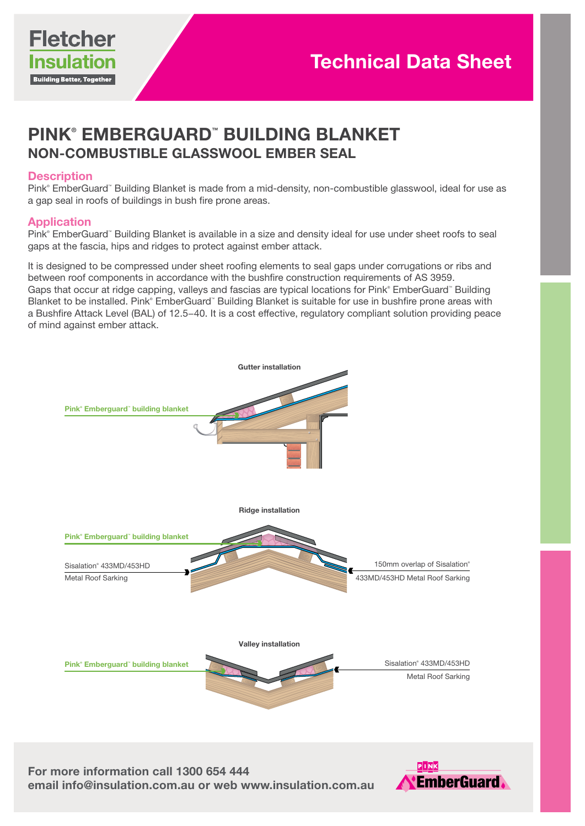

# PINK® EMBERGUARD™ BUILDING BLANKET NON-COMBUSTIBLE GLASSWOOL EMBER SEAL

#### **Description**

Pink® EmberGuard™ Building Blanket is made from a mid-density, non-combustible glasswool, ideal for use as a gap seal in roofs of buildings in bush fire prone areas.

# Application

Pink® EmberGuard™ Building Blanket is available in a size and density ideal for use under sheet roofs to seal gaps at the fascia, hips and ridges to protect against ember attack.

It is designed to be compressed under sheet roofing elements to seal gaps under corrugations or ribs and between roof components in accordance with the bushfire construction requirements of AS 3959. Gaps that occur at ridge capping, valleys and fascias are typical locations for Pink® EmberGuard™ Building Blanket to be installed. Pink® EmberGuard™ Building Blanket is suitable for use in bushfire prone areas with a Bushfire Attack Level (BAL) of 12.5–40. It is a cost effective, regulatory compliant solution providing peace of mind against ember attack.



For more information call 1300 654 444<br>email info@insulation.com.au or web www.insulation.com.au <mark><</mark>EmberGuard